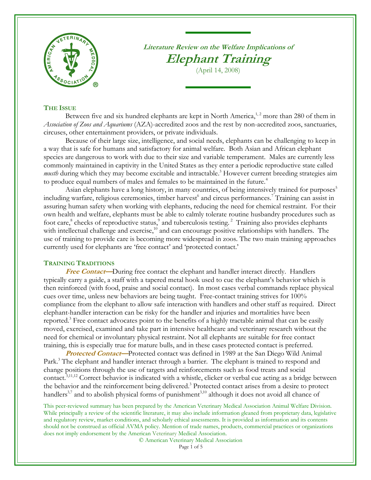

**Literature Review on the Welfare Implications of Elephant Training**

<span id="page-0-2"></span><span id="page-0-1"></span><span id="page-0-0"></span>(April 14, 2008)

### **THE ISSUE**

Between five and six hundred elephants are kept in North America,<sup>1,2</sup> more than 280 of them in *Association of Zoos and Aquariums* (AZA)-accredited zoos and the rest by non-accredited zoos, sanctuaries, circuses, other entertainment providers, or private individuals.

Because of their large size, intelligence, and social needs, elephants can be challenging to keep in a way that is safe for humans and satisfactory for animal welfare. Both Asian and African elephant species are dangerous to work with due to their size and variable temperament. Males are currently less commonly maintained in captivity in the United States as they enter a periodic reproductive state called musth during which they may become excitable and intractable.<sup>3</sup> However current breeding strategies aim to produce equal numbers of males and females to be maintained in the future.<sup>4</sup>

Asian elephants have a long history, in many countries, of being intensively trained for purposes<sup>5</sup> including warfare, religious ceremonies, timber harvest<sup>6</sup> and circus performances.<sup>7</sup> Training can assist in assuring human safety when working with elephants, reducing the need for chemical restraint. For their own health and welfare, elephants must be able to calmly tolerate routine husbandry procedures such as foot care,<sup>8</sup> checks of reproductive status,<sup>9</sup> and tuberculosis testing.<sup>[2](#page-0-0)</sup> Training also provides elephants with intellectual challenge and exercise,<sup>10</sup> and can encourage positive relationships with handlers. The use of training to provide care is becoming more widespread in zoos. The two main training approaches currently used for elephants are 'free contact' and 'protected contact.'

## <span id="page-0-3"></span>**TRAINING TRADITIONS**

**Free Contact**—During free contact the elephant and handler interact directly. Handlers typically carry a guide, a staff with a tapered metal hook used to cue the elephant's behavior which is then reinforced (with food, praise and social contact). In most cases verbal commands replace physical cues over time, unless new behaviors are being taught. Free-contact training strives for 100% compliance from the elephant to allow safe interaction with handlers and other staff as required. Direct elephant-handler interaction can be risky for the handler and injuries and mortalities have been reported[.](#page-0-1)<sup>3</sup> Free contact advocates point to the benefits of a highly tractable animal that can be easily moved, exercised, examined and take part in intensive healthcare and veterinary research without the need for chemical or involuntary physical restraint. Not all elephants are suitable for free contact training, this is especially true for mature bulls, and in these cases protected contact is preferred.

<span id="page-0-5"></span><span id="page-0-4"></span>**Protected Contact—**Protected contact was defined in 1989 at the San Diego Wild Animal Park[.](#page-0-1)<sup>3</sup> The elephant and handler interact through a barrier. The elephant is trained to respond and change positions through the use of targets and reinforcements such as food treats and social contact.<sup>[3,1](#page-0-1)1,12</sup> Correct behavior is indicated with a whistle, clicker or verbal cue acting as a bridge between the behavior and the reinforcement being delivere[d.](#page-0-1)<sup>3</sup> Protected contact arises from a desire to protect handlers<sup>[3,](#page-0-1)[7](#page-0-2)</sup> and to abolish physical forms of punishment<sup>3,[10](#page-0-3)</sup> although it does not avoid all chance of

This peer-reviewed summary has been prepared by the American Veterinary Medical Association Animal Welfare Division. While principally a review of the scientific literature, it may also include information gleaned from proprietary data, legislative and regulatory review, market conditions, and scholarly ethical assessments. It is provided as information and its contents should not be construed as official AVMA policy. Mention of trade names, products, commercial practices or organizations does not imply endorsement by the American Veterinary Medical Association.

© American Veterinary Medical Association

Page 1 of 5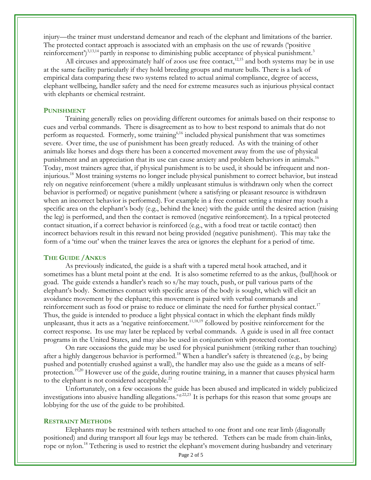injury—the trainer must understand demeanor and reach of the elephant and limitations of the barrier. The protected contact approach is associated with an emphasis on the use of rewards ('positive reinforcement')<sup>[3,1](#page-0-1)3,14</sup> partly in response to diminishing public acceptance of physical punishment[.](#page-0-1)<sup>3</sup>

<span id="page-1-3"></span>All circuses and approximately half of zoos use free contact, $^{12,15}$  $^{12,15}$  $^{12,15}$  and both systems may be in use at the same facility particularly if they hold breeding groups and mature bulls. There is a lack of empirical data comparing these two systems related to actual animal compliance, degree of access, elephant wellbeing, handler safety and the need for extreme measures such as injurious physical contact with elephants or chemical restraint.

### **PUNISHMENT**

Training generally relies on providing different outcomes for animals based on their response to cues and verbal commands. There is disagreement as to how to best respond to animals that do not perform as requested. Formerly, some training<sup>6,16</sup> included physical punishment that was sometimes severe. Over time, the use of punishment has been greatly reduced. As with the training of other animals like horses and dogs there has been a concerted movement away from the use of physical punishment and an appreciation that its use can cause anxiety and problem behaviors in animals.<sup>16</sup> Today, most trainers agree that, if physical punishment is to be used, it should be infrequent and noninjurious.[18](#page-1-0) Most training systems no longer include physical punishment to correct behavior, but instead rely on negative reinforcement (where a mildly unpleasant stimulus is withdrawn only when the correct behavior is performed) or negative punishment (where a satisfying or pleasant resource is withdrawn when an incorrect behavior is performed). For example in a free contact setting a trainer may touch a specific area on the elephant's body (e.g., behind the knee) with the guide until the desired action (raising the leg) is performed, and then the contact is removed (negative reinforcement). In a typical protected contact situation, if a correct behavior is reinforced (e.g., with a food treat or tactile contact) then incorrect behaviors result in this reward not being provided (negative punishment). This may take the form of a 'time out' when the trainer leaves the area or ignores the elephant for a period of time.

### **THE GUIDE /ANKUS**

<span id="page-1-2"></span>As previously indicated, the guide is a shaft with a tapered metal hook attached, and it sometimes has a blunt metal point at the end. It is also sometime referred to as the ankus, (bull)hook or goad. The guide extends a handler's reach so s/he may touch, push, or pull various parts of the elephant's body. Sometimes contact with specific areas of the body is sought, which will elicit an avoidance movement by the elephant; this movement is paired with verbal commands and reinforcement such as food or praise to reduce or eliminate the need for further physical contact.<sup>17</sup> Thus, the guide is intended to produce a light physical contact in which the elephant finds mildly unpleasant, thus it acts as a 'negative reinforcement.<sup>[11,1](#page-0-5)8,19</sup> followed by positive reinforcement for the correct response. Its use may later be replaced by verbal commands. A guide is used in all free contact programs in the United States, and may also be used in conjunction with protected contact.

<span id="page-1-1"></span><span id="page-1-0"></span>On rare occasions the guide may be used for physical punishment (striking rather than touching) after a highly dangerous behavior is performed.<sup>[18](#page-1-0)</sup> When a handler's safety is threatened (e.g., by being pushed and potentially crushed against a wall), the handler may also use the guide as a means of self-protection.<sup>[19,2](#page-1-1)0</sup> However use of the guide, during routine training, in a manner that causes physical harm to the elephant is not considered acceptable.<sup>21</sup>

<span id="page-1-4"></span>Unfortunately, on a few occasions the guide has been abused and implicated in widely publicized investigations into abusive handling allegations.  $e^{g.22,23}$  It is perhaps for this reason that some groups are lobbying for the use of the guide to be prohibited.

### **RESTRAINT METHODS**

Elephants may be restrained with tethers attached to one front and one rear limb (diagonally positioned) and during transport all four legs may be tethered. Tethers can be made from chain-links, rope or nylon.<sup>[18](#page-1-0)</sup> Tethering is used to restrict the elephant's movement during husbandry and veterinary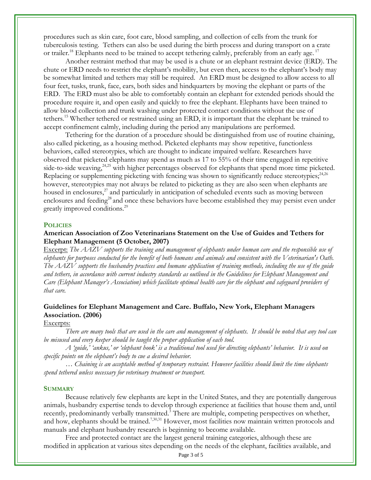procedures such as skin care, foot care, blood sampling, and collection of cells from the trunk for tuberculosis testing. Tethers can also be used during the birth process and during transport on a crate or trailer.<sup>[18](#page-1-0)</sup> Elephants need to be trained to accept tethering calmly, preferably from an early age.<sup>[17](#page-1-2)</sup>

Another restraint method that may be used is a chute or an elephant restraint device (ERD). The chute or ERD needs to restrict the elephant's mobility, but even then, access to the elephant's body may be somewhat limited and tethers may still be required. An ERD must be designed to allow access to all four feet, tusks, trunk, face, ears, both sides and hindquarters by moving the elephant or parts of the ERD. The ERD must also be able to comfortably contain an elephant for extended periods should the procedure require it, and open easily and quickly to free the elephant. Elephants have been trained to allow blood collection and trunk washing under protected contact conditions without the use of tethers.<sup>[15](#page-1-3)</sup> Whether tethered or restrained using an ERD, it is important that the elephant be trained to accept confinement calmly, including during the period any manipulations are performed.

<span id="page-2-0"></span>Tethering for the duration of a procedure should be distinguished from use of routine chaining, also called picketing, as a housing method. Picketed elephants may show repetitive, functionless behaviors, called stereotypies, which are thought to indicate impaired welfare. Researchers have observed that picketed elephants may spend as much as 17 to 55% of their time engaged in repetitive side-to-side weaving,<sup>24,25</sup> with higher percentages observed for elephants that spend more time picketed. Replacing or supplementing picketing with fencing was shown to significantly reduce stereotypies; $^{24,26}$  $^{24,26}$  $^{24,26}$ however, stereotypies may not always be related to picketing as they are also seen when elephants are housed in enclosures,<sup>27</sup> and particularly in anticipation of scheduled events such as moving between enclosures and feeding<sup>28</sup> and once these behaviors have become established they may persist even under greatly improved conditions.<sup>29</sup>

### **POLICIES**

## **American Association of Zoo Veterinarians Statement on the Use of Guides and Tethers for Elephant Management (5 October, 2007)**

Excerpt: *The AAZV supports the training and management of elephants under human care and the responsible use of elephants for purposes conducted for the benefit of both humans and animals and consistent with the Veterinarian's Oath. The AAZV supports the husbandry practices and humane application of training methods, including the use of the guide and tethers, in accordance with current industry standards as outlined in the Guidelines for Elephant Management and Care (Elephant Manager's Association) which facilitate optimal health care for the elephant and safeguard providers of that care.*

# **Guidelines for Elephant Management and Care. Buffalo, New York, Elephant Managers Association. (2006)**

# Excerpts:

*There are many tools that are used in the care and management of elephants. It should be noted that any tool can be misused and every keeper should be taught the proper application of each tool.*

*A 'guide,' 'ankus,' or 'elephant hook' is a traditional tool used for directing elephants' behavior. It is used on specific points on the elephant's body to cue a desired behavior.*

*… Chaining is an acceptable method of temporary restraint. However facilities should limit the time elephants spend tethered unless necessary for veterinary treatment or transport.*

### **SUMMARY**

Because relatively few elephants are kept in the United States, and they are potentially dangerous animals, husbandry expertise tends to develop through experience at facilities that house them and, until recently, predominantly verbally transmitted[.](#page-0-1)<sup>3</sup> There are multiple, competing perspectives on whether, and how, elephants should be trained.<sup>[7,3](#page-0-2)0,31</sup> However, most facilities now maintain written protocols and manuals and elephant husbandry research is beginning to become available.

Free and protected contact are the largest general training categories, although these are modified in application at various sites depending on the needs of the elephant, facilities available, and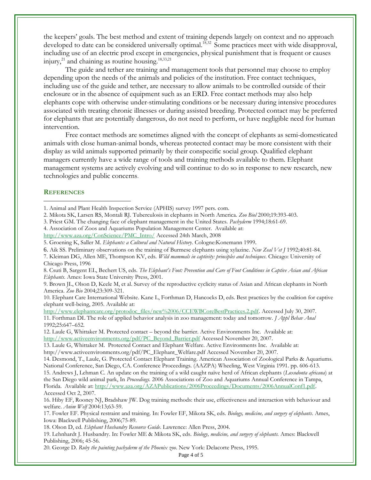the keepers' goals. The best method and extent of training depends largely on context and no approach developed to date can be considered universally optimal.<sup>[18,3](#page-1-0)2</sup> Some practices meet with wide disapproval, including use of an electric prod except in emergencies, physical punishment that is frequent or causes injury, $^{21}$  $^{21}$  $^{21}$  and chaining as routine housing.<sup>[18,3](#page-1-0)[3,21](#page-1-4)</sup>

The guide and tether are training and management tools that personnel may choose to employ depending upon the needs of the animals and policies of the institution. Free contact techniques, including use of the guide and tether, are necessary to allow animals to be controlled outside of their enclosure or in the absence of equipment such as an ERD. Free contact methods may also help elephants cope with otherwise under-stimulating conditions or be necessary during intensive procedures associated with treating chronic illnesses or during assisted breeding. Protected contact may be preferred for elephants that are potentially dangerous, do not need to perform, or have negligible need for human intervention.

Free contact methods are sometimes aligned with the concept of elephants as semi-domesticated animals with close human-animal bonds, whereas protected contact may be more consistent with their display as wild animals supported primarily by their conspecific social group. Qualified elephant managers currently have a wide range of tools and training methods available to them. Elephant management systems are actively evolving and will continue to do so in response to new research, new technologies and public concerns.

### **REFERENCES**

 $\overline{a}$ 

- 2. Mikota SK, Larsen RS, Montali RJ. Tuberculosis in elephants in North America. *Zoo Biol* 2000;19:393-403.
- 3. Priest GM. The changing face of elephant management in the United States. *Pachyderm* 1994;18:61-69.
- 4. Association of Zoos and Aquariums Population Management Center. Available at:

[http://www.aza.org/ConScience/PMC\\_Intro/](http://www.aza.org/ConScience/PMC_Intro/) Accessed 24th March, 2008

- 5. Groening K, Saller M. *Elephants: a Cultural and Natural History*. Cologne:Konemann 1999.
- 6. Aik SS. Preliminary observations on the training of Burmese elephants using xylazine. *New Zeal Vet J* 1992;40:81-84.
- 7. Kleiman DG, Allen ME, Thompson KV, eds. *Wild mammals in captivity: principles and techniques*. Chicago: University of Chicago Press, 1996

8. Csuti B, Sargent EL, Bechert US, eds. *The Elephant's Foot: Prevention and Care of Foot Conditions in Captive Asian and African Elephants*. Ames: Iowa State University Press, 2001.

9. Brown JL, Olson D, Keele M, et al. Survey of the reproductive cyclicity status of Asian and African elephants in North America. *Zoo Bio* 2004;23:309-321.

10. Elephant Care International Website. Kane L, Forthman D, Hancocks D, eds. Best practices by the coalition for captive elephant well-being, 2005. Available at:

[http://www.elephantcare.org/protodoc\\_files/new%2006/CCEWBCoreBestPractices.2.pdf.](http://www.elephantcare.org/protodoc_files/new%2006/CCEWBCoreBestPractices.2.pdf) Accessed July 30, 2007. 11. Forthman DL The role of applied behavior analysis in zoo management: today and tomorrow. *J Appl Behav Anal*  1992;25:647–652.

12. Laule G, Whittaker M. Protected contact – beyond the barrier. Active Environments Inc. Available at: [http://www.activeenvironments.org/pdf/PC\\_Beyond\\_Barrier.pdf](http://www.activeenvironments.org/pdf/PC_Beyond_Barrier.pdf) Accessed November 20, 2007.

13. Laule G, Whittaker M. Protected Contact and Elephant Welfare. Active Environments Inc. Available at: http://www.activeenvironments.org/pdf/PC\_Elephant\_Welfare.pdf Accessed November 20, 2007.

15. Andrews J, Lehman C. An update on the training of a wild caught naïve herd of African elephants (*Loxodonta africana*) at the San Diego wild animal park, In *Proceedings.* 2006 Associations of Zoo and Aquariums Annual Conference in Tampa, Florida. Available at: [http://www.aza.org/AZAPublications/2006Proceedings/Documents/2006AnnualConf1.pdf.](http://www.aza.org/AZAPublications/2006Proceedings/Documents/2006AnnualConf1.pdf)  Accessed Oct 2, 2007.

16. Hiby EF, Rooney NJ, Bradshaw JW. Dog training methods: their use, effectiveness and interaction with behaviour and welfare. *Anim Welf* 2004:13;63-59.

17. Fowler EF. Physical restraint and training. In: Fowler EF, Mikota SK, eds. *Biology, medicine, and surgery of elephants*. Ames, Iowa: Blackwell Publishing, 2006;75-89.

18. Olson D, ed. *Elephant Husbandry Resource Guide*. Lawrence: Allen Press, 2004.

19. Lehnhardt J. Husbandry. In: Fowler ME & Mikota SK, eds. *Biology, medicine, and surgery of elephants.* Ames: Blackwell Publishing, 2006; 45-56.

20. George D. *Ruby the painting pachyderm of the Phoenix zoo*. New York: Delacorte Press, 1995.

Page 4 of 5

<sup>1.</sup> Animal and Plant Health Inspection Service (APHIS) survey 1997 pers. com.

<sup>14.</sup> Desmond, T., Laule, G. Protected Contact Elephant Training. American Association of Zoological Parks & Aquariums. National Conference, San Diego, CA. Conference Proceedings. (AAZPA) Wheeling, West Virginia 1991. pp. 606-613.